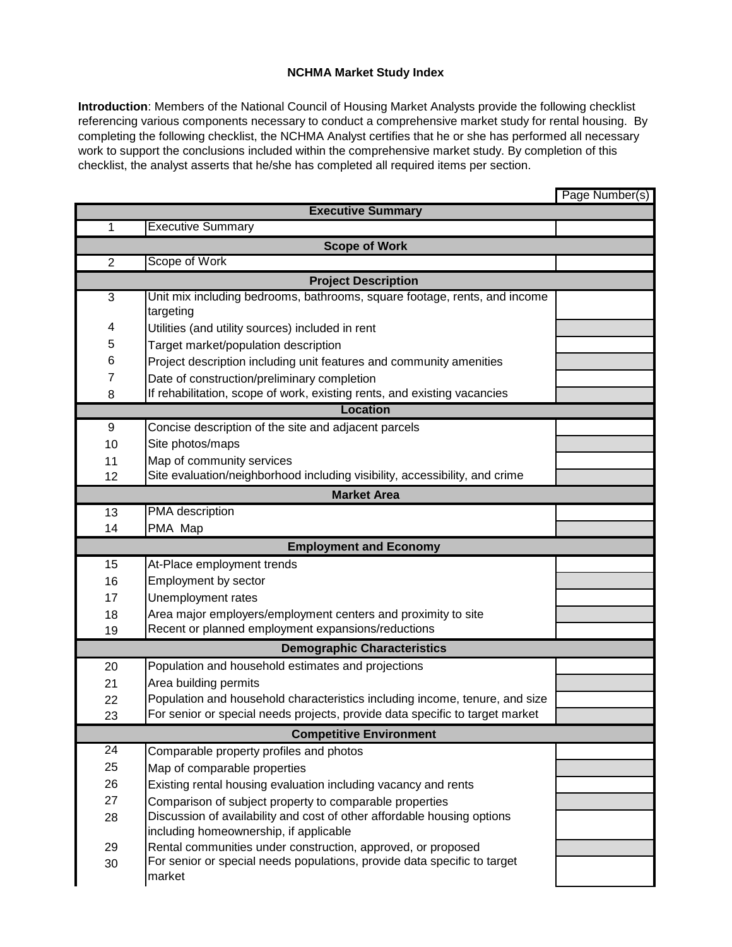## **NCHMA Market Study Index**

**Introduction**: Members of the National Council of Housing Market Analysts provide the following checklist referencing various components necessary to conduct a comprehensive market study for rental housing. By completing the following checklist, the NCHMA Analyst certifies that he or she has performed all necessary work to support the conclusions included within the comprehensive market study. By completion of this checklist, the analyst asserts that he/she has completed all required items per section.

|                                    |                                                                              | Page Number(s) |  |
|------------------------------------|------------------------------------------------------------------------------|----------------|--|
| <b>Executive Summary</b>           |                                                                              |                |  |
| 1                                  | <b>Executive Summary</b>                                                     |                |  |
| <b>Scope of Work</b>               |                                                                              |                |  |
| $\overline{2}$                     | Scope of Work                                                                |                |  |
| <b>Project Description</b>         |                                                                              |                |  |
| 3                                  | Unit mix including bedrooms, bathrooms, square footage, rents, and income    |                |  |
|                                    | targeting                                                                    |                |  |
| 4                                  | Utilities (and utility sources) included in rent                             |                |  |
| 5                                  | Target market/population description                                         |                |  |
| 6                                  | Project description including unit features and community amenities          |                |  |
| $\overline{7}$                     | Date of construction/preliminary completion                                  |                |  |
| 8                                  | If rehabilitation, scope of work, existing rents, and existing vacancies     |                |  |
| <b>Location</b>                    |                                                                              |                |  |
| 9                                  | Concise description of the site and adjacent parcels                         |                |  |
| 10                                 | Site photos/maps                                                             |                |  |
| 11                                 | Map of community services                                                    |                |  |
| 12                                 | Site evaluation/neighborhood including visibility, accessibility, and crime  |                |  |
|                                    | <b>Market Area</b>                                                           |                |  |
| 13                                 | PMA description                                                              |                |  |
| 14                                 | PMA Map                                                                      |                |  |
| <b>Employment and Economy</b>      |                                                                              |                |  |
| 15                                 | At-Place employment trends                                                   |                |  |
| 16                                 | Employment by sector                                                         |                |  |
| 17                                 | Unemployment rates                                                           |                |  |
| 18                                 | Area major employers/employment centers and proximity to site                |                |  |
| 19                                 | Recent or planned employment expansions/reductions                           |                |  |
| <b>Demographic Characteristics</b> |                                                                              |                |  |
| 20                                 | Population and household estimates and projections                           |                |  |
| 21                                 | Area building permits                                                        |                |  |
| 22                                 | Population and household characteristics including income, tenure, and size  |                |  |
| 23                                 | For senior or special needs projects, provide data specific to target market |                |  |
| <b>Competitive Environment</b>     |                                                                              |                |  |
| 24                                 | Comparable property profiles and photos                                      |                |  |
| 25                                 | Map of comparable properties                                                 |                |  |
| 26                                 | Existing rental housing evaluation including vacancy and rents               |                |  |
| 27                                 | Comparison of subject property to comparable properties                      |                |  |
| 28                                 | Discussion of availability and cost of other affordable housing options      |                |  |
|                                    | including homeownership, if applicable                                       |                |  |
| 29                                 | Rental communities under construction, approved, or proposed                 |                |  |
| 30                                 | For senior or special needs populations, provide data specific to target     |                |  |
|                                    | market                                                                       |                |  |